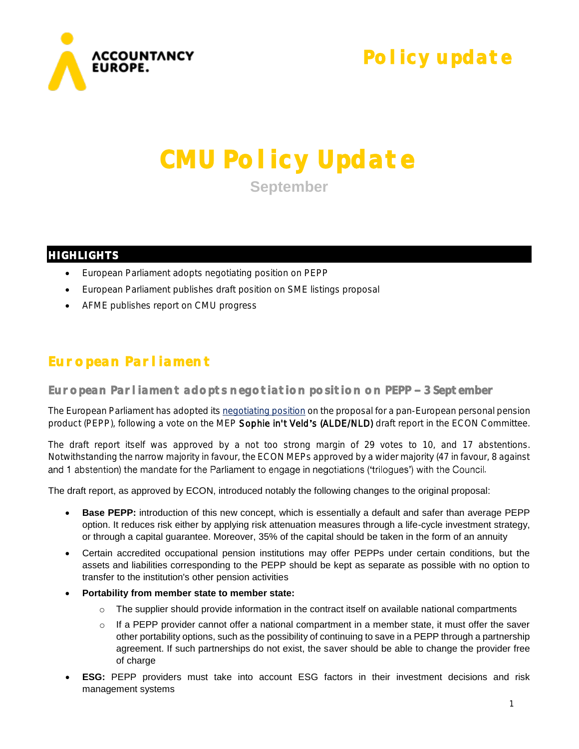

**Policy update** 

# **CMU Policy Update September**

### **HIGHLIGHTS**

- European Parliament adopts negotiating position on PEPP
- European Parliament publishes draft position on SME listings proposal
- AFME publishes report on CMU progress

## **European Parliament**

**European Parliament adopts negotiation position on PEPP 3 September** 

The European Parliament has adopted it[s negotiating position](http://www.europarl.europa.eu/sides/getDoc.do?type=REPORT&mode=XML&reference=A8-2018-0278&language=EN) on the proposal for a pan-European personal pension product (PEPP), following a vote on the MEP Sophie in't Veld's (ALDE/NLD) draft report in the ECON Committee.

The draft report itself was approved by a not too strong margin of 29 votes to 10, and 17 abstentions. Notwithstanding the narrow majority in favour, the ECON MEPs approved by a wider majority (47 in favour, 8 against and 1 abstention) the mandate for the Parliament to engage in negotiations ('trilogues') with the Council.

The draft report, as approved by ECON, introduced notably the following changes to the original proposal:

- **Base PEPP:** introduction of this new concept, which is essentially a default and safer than average PEPP option. It reduces risk either by applying risk attenuation measures through a life-cycle investment strategy, or through a capital guarantee. Moreover, 35% of the capital should be taken in the form of an annuity
- Certain accredited occupational pension institutions may offer PEPPs under certain conditions, but the assets and liabilities corresponding to the PEPP should be kept as separate as possible with no option to transfer to the institution's other pension activities
- **Portability from member state to member state:**
	- $\circ$  The supplier should provide information in the contract itself on available national compartments
	- $\circ$  If a PEPP provider cannot offer a national compartment in a member state, it must offer the saver other portability options, such as the possibility of continuing to save in a PEPP through a partnership agreement. If such partnerships do not exist, the saver should be able to change the provider free of charge
- **ESG:** PEPP providers must take into account ESG factors in their investment decisions and risk management systems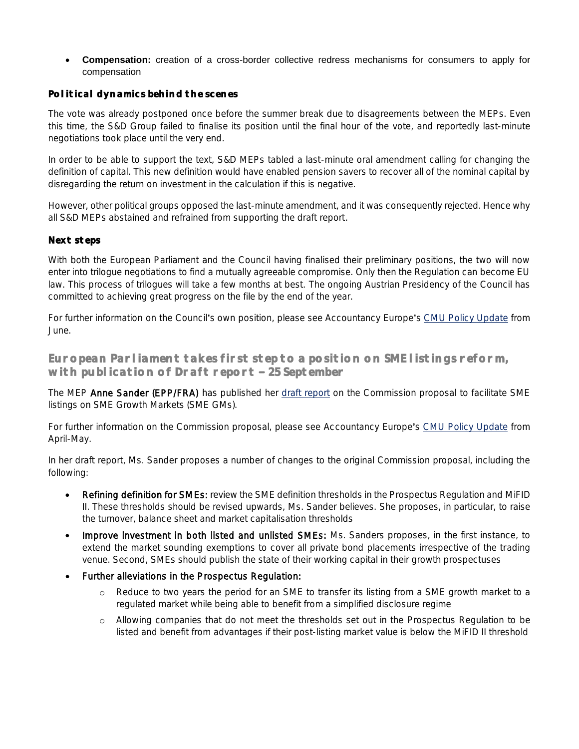• **Compensation:** creation of a cross-border collective redress mechanisms for consumers to apply for compensation

#### **Political dynamics behind the scenes**

The vote was already postponed once before the summer break due to disagreements between the MEPs. Even this time, the S&D Group failed to finalise its position until the final hour of the vote, and reportedly last-minute negotiations took place until the very end.

In order to be able to support the text, S&D MEPs tabled a last-minute oral amendment calling for changing the definition of capital. This new definition would have enabled pension savers to recover all of the nominal capital by disregarding the return on investment in the calculation if this is negative.

However, other political groups opposed the last-minute amendment, and it was consequently rejected. Hence why all S&D MEPs abstained and refrained from supporting the draft report.

#### **Next steps**

With both the European Parliament and the Council having finalised their preliminary positions, the two will now enter into trilogue negotiations to find a mutually agreeable compromise. Only then the Regulation can become EU law. This process of trilogues will take a few months at best. The ongoing Austrian Presidency of the Council has committed to achieving great progress on the file by the end of the year.

For further information on the Council's own position, please see Accountancy Europe's [CMU Policy Update](https://www.accountancyeurope.eu/wp-content/uploads/180702_CMU-PU-June258.pdf) from June.

**European Parliament takes first step to a position on SME listings reform, with publication of Draft report 25 September** 

The MEP Anne Sander (EPP/FRA) has published her [draft report](http://www.europarl.europa.eu/sides/getDoc.do?pubRef=-//EP//NONSGML+COMPARL+PE-627.044+01+DOC+PDF+V0//EN&language=EN) on the Commission proposal to facilitate SME listings on SME Growth Markets (SME GMs).

For further information on the Commission proposal, please see Accountancy Europe's [CMU Policy Update](https://www.accountancyeurope.eu/wp-content/uploads/180604_CMU-PU-April-May.pdf) from April-May.

In her draft report, Ms. Sander proposes a number of changes to the original Commission proposal, including the following:

- Refining definition for SMEs: review the SME definition thresholds in the Prospectus Regulation and MiFID II. These thresholds should be revised upwards, Ms. Sander believes. She proposes, in particular, to raise the turnover, balance sheet and market capitalisation thresholds
- Improve investment in both listed and unlisted SMEs: Ms. Sanders proposes, in the first instance, to extend the market sounding exemptions to cover all private bond placements irrespective of the trading venue. Second, SMEs should publish the state of their working capital in their growth prospectuses
- Further alleviations in the Prospectus Regulation:
	- o Reduce to two years the period for an SME to transfer its listing from a SME growth market to a regulated market while being able to benefit from a simplified disclosure regime
	- o Allowing companies that do not meet the thresholds set out in the Prospectus Regulation to be listed and benefit from advantages if their post-listing market value is below the MiFID II threshold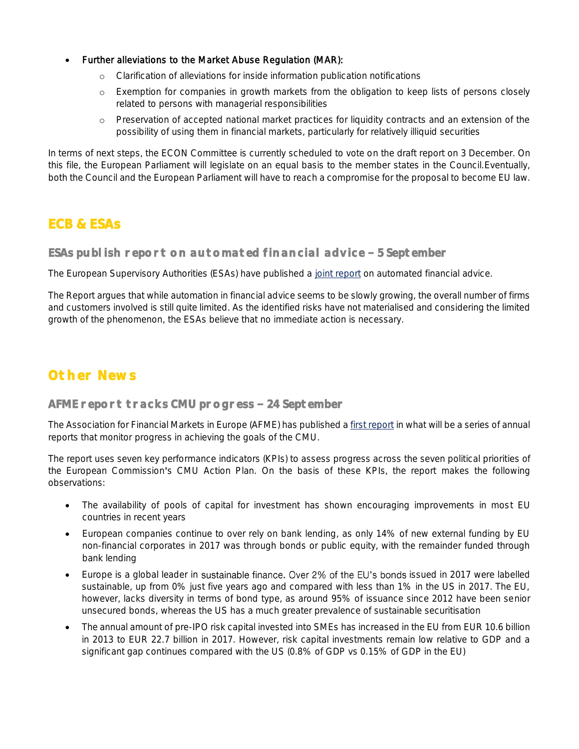- Further alleviations to the Market Abuse Regulation (MAR):
	- o Clarification of alleviations for inside information publication notifications
	- o Exemption for companies in growth markets from the obligation to keep lists of persons closely related to persons with managerial responsibilities
	- o Preservation of accepted national market practices for liquidity contracts and an extension of the possibility of using them in financial markets, particularly for relatively illiquid securities

In terms of next steps, the ECON Committee is currently scheduled to vote on the draft report on 3 December. On this file, the European Parliament will legislate on an equal basis to the member states in the Council.Eventually, both the Council and the European Parliament will have to reach a compromise for the proposal to become EU law.

### **ECB & ESAs**

ESAs publish report on automated financial advice - 5 September

The European Supervisory Authorities (ESAs) have published a [joint report](https://esas-joint-committee.europa.eu/Publications/Reports/JC%202018%2029%20-%20JC%20Report%20on%20automation%20in%20financial%20advice.pdf) on automated financial advice.

The Report argues that while automation in financial advice seems to be slowly growing, the overall number of firms and customers involved is still quite limited. As the identified risks have not materialised and considering the limited growth of the phenomenon, the ESAs believe that no immediate action is necessary.

## **Other News**

#### **AFME report tracks CMU progress 24 September**

The Association for Financial Markets in Europe (AFME) has published a [first report](https://www.afme.eu/globalassets/downloads/publications/afme-cmu-kpi-report-3.pdf) in what will be a series of annual reports that monitor progress in achieving the goals of the CMU.

The report uses seven key performance indicators (KPIs) to assess progress across the seven political priorities of the European Commission's CMU Action Plan. On the basis of these KPIs, the report makes the following observations:

- The availability of pools of capital for investment has shown encouraging improvements in most EU countries in recent years
- European companies continue to over rely on bank lending, as only 14% of new external funding by EU non-financial corporates in 2017 was through bonds or public equity, with the remainder funded through bank lending
- Europe is a global leader in sustainable finance. Over 2% of the EU's bonds issued in 2017 were labelled sustainable, up from 0% just five years ago and compared with less than 1% in the US in 2017. The EU, however, lacks diversity in terms of bond type, as around 95% of issuance since 2012 have been senior unsecured bonds, whereas the US has a much greater prevalence of sustainable securitisation
- The annual amount of pre-IPO risk capital invested into SMEs has increased in the EU from EUR 10.6 billion in 2013 to EUR 22.7 billion in 2017. However, risk capital investments remain low relative to GDP and a significant gap continues compared with the US (0.8% of GDP vs 0.15% of GDP in the EU)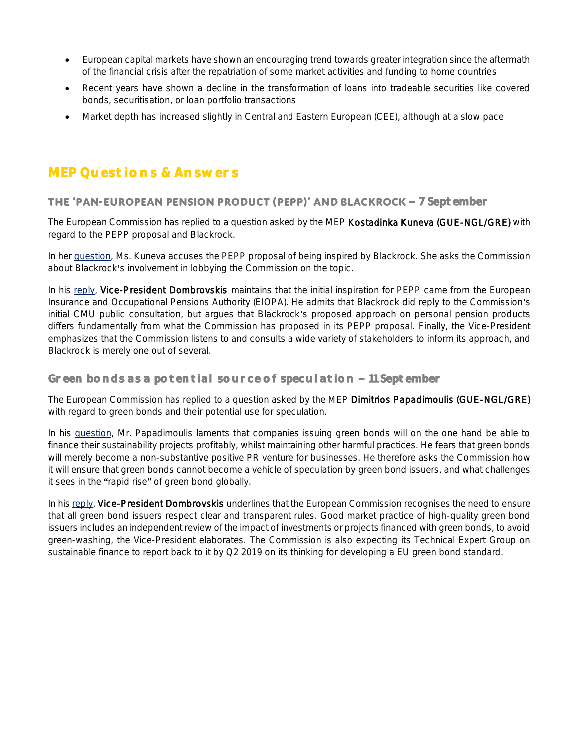- European capital markets have shown an encouraging trend towards greater integration since the aftermath of the financial crisis after the repatriation of some market activities and funding to home countries
- Recent years have shown a decline in the transformation of loans into tradeable securities like covered bonds, securitisation, or loan portfolio transactions
- Market depth has increased slightly in Central and Eastern European (CEE), although at a slow pace

# **MEP Questions & Answers**

#### **THE 'PAN-EUROPEAN PENSION PRODUCT (PEPP)' AND BLACKROCK - 7 September**

The European Commission has replied to a question asked by the MEP Kostadinka Kuneva (GUE-NGL/GRE) with regard to the PEPP proposal and Blackrock.

In her [question,](http://www.europarl.europa.eu/sides/getDoc.do?type=WQ&reference=E-2018-003254&language=EN) Ms. Kuneva accuses the PEPP proposal of being inspired by Blackrock. She asks the Commission about Blackrock's involvement in lobbying the Commission on the topic.

In his [reply,](http://www.europarl.europa.eu/sides/getAllAnswers.do?reference=E-2018-003254&language=EN) Vice-President Dombrovskis maintains that the initial inspiration for PEPP came from the European Insurance and Occupational Pensions Authority (EIOPA). He admits that Blackrock did reply to the Commission's initial CMU public consultation, but argues that Blackrock's proposed approach on personal pension products differs fundamentally from what the Commission has proposed in its PEPP proposal. Finally, the Vice-President emphasizes that the Commission listens to and consults a wide variety of stakeholders to inform its approach, and Blackrock is merely one out of several.

#### Green bonds as a potential source of speculation - 11 September

The European Commission has replied to a question asked by the MEP Dimitrios Papadimoulis (GUE-NGL/GRE) with regard to green bonds and their potential use for speculation.

In his [question,](http://www.europarl.europa.eu/sides/getDoc.do?type=WQ&reference=E-2018-003257&language=EN) Mr. Papadimoulis laments that companies issuing green bonds will on the one hand be able to finance their sustainability projects profitably, whilst maintaining other harmful practices. He fears that green bonds will merely become a non-substantive positive PR venture for businesses. He therefore asks the Commission how it will ensure that green bonds cannot become a vehicle of speculation by green bond issuers, and what challenges it sees in the "rapid rise" of green bond globally.

In hi[s reply,](http://www.europarl.europa.eu/sides/getAllAnswers.do?reference=E-2018-003257&language=EN) Vice-President Dombrovskis underlines that the European Commission recognises the need to ensure that all green bond issuers respect clear and transparent rules. Good market practice of high-quality green bond issuers includes an independent review of the impact of investments or projects financed with green bonds, to avoid green-washing, the Vice-President elaborates. The Commission is also expecting its Technical Expert Group on sustainable finance to report back to it by Q2 2019 on its thinking for developing a EU green bond standard.